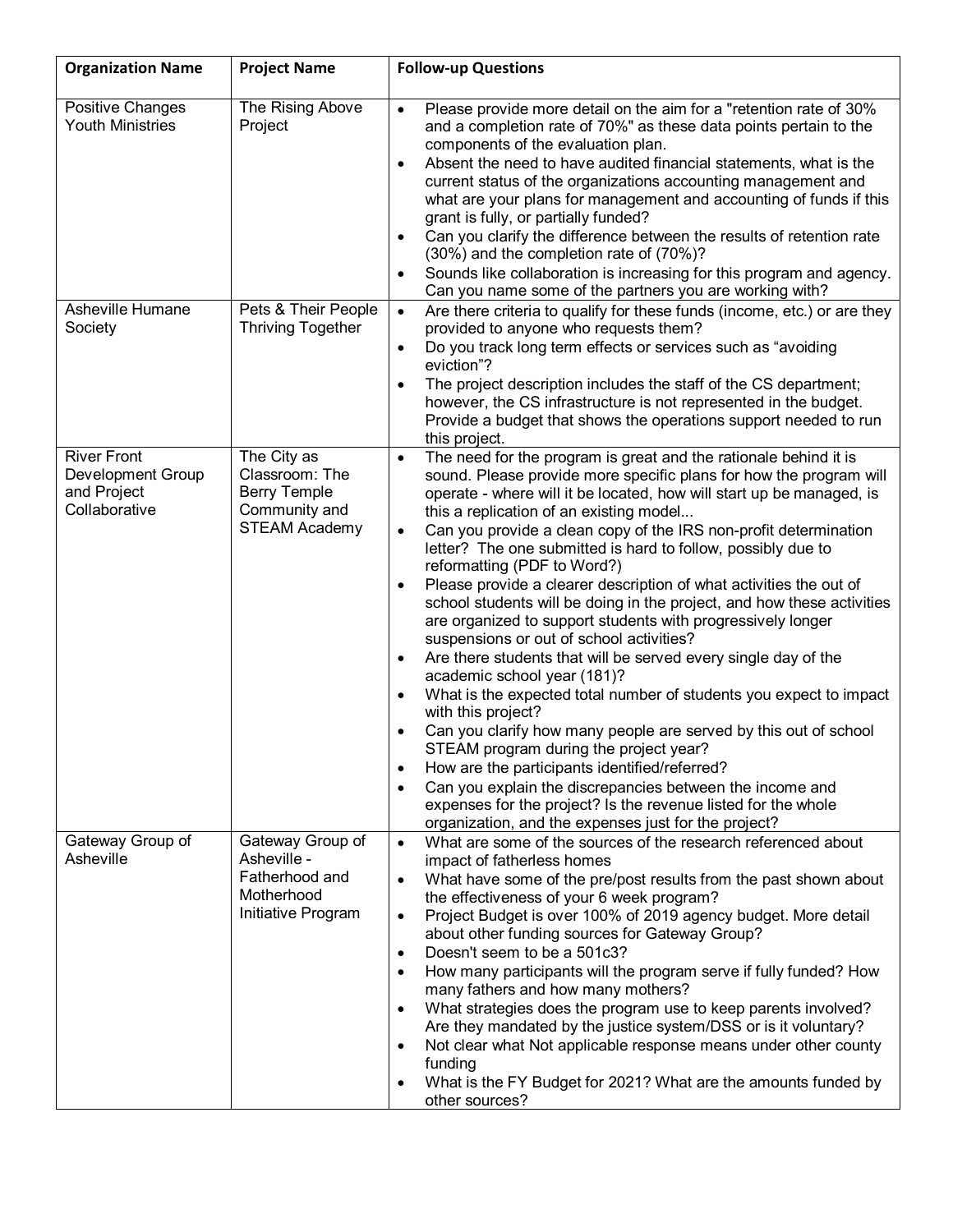| <b>Organization Name</b>                                                       | <b>Project Name</b>                                                                           | <b>Follow-up Questions</b>                                                                                                                                                                                                                                                                                                                                                                                                                                                                                                                                                                                                                                                                                                                                                                                                                                                                                                                                                                                                                                                                                                                                                                                                                                                                                                       |  |  |  |
|--------------------------------------------------------------------------------|-----------------------------------------------------------------------------------------------|----------------------------------------------------------------------------------------------------------------------------------------------------------------------------------------------------------------------------------------------------------------------------------------------------------------------------------------------------------------------------------------------------------------------------------------------------------------------------------------------------------------------------------------------------------------------------------------------------------------------------------------------------------------------------------------------------------------------------------------------------------------------------------------------------------------------------------------------------------------------------------------------------------------------------------------------------------------------------------------------------------------------------------------------------------------------------------------------------------------------------------------------------------------------------------------------------------------------------------------------------------------------------------------------------------------------------------|--|--|--|
| Positive Changes<br><b>Youth Ministries</b>                                    | The Rising Above<br>Project                                                                   | Please provide more detail on the aim for a "retention rate of 30%<br>$\bullet$<br>and a completion rate of 70%" as these data points pertain to the<br>components of the evaluation plan.<br>Absent the need to have audited financial statements, what is the<br>$\bullet$<br>current status of the organizations accounting management and<br>what are your plans for management and accounting of funds if this<br>grant is fully, or partially funded?<br>Can you clarify the difference between the results of retention rate<br>$\bullet$<br>(30%) and the completion rate of (70%)?<br>Sounds like collaboration is increasing for this program and agency.<br>$\bullet$<br>Can you name some of the partners you are working with?                                                                                                                                                                                                                                                                                                                                                                                                                                                                                                                                                                                      |  |  |  |
| Asheville Humane<br>Society                                                    | Pets & Their People<br><b>Thriving Together</b>                                               | Are there criteria to qualify for these funds (income, etc.) or are they<br>$\bullet$<br>provided to anyone who requests them?<br>Do you track long term effects or services such as "avoiding<br>$\bullet$<br>eviction"?<br>The project description includes the staff of the CS department;<br>$\bullet$<br>however, the CS infrastructure is not represented in the budget.<br>Provide a budget that shows the operations support needed to run<br>this project.                                                                                                                                                                                                                                                                                                                                                                                                                                                                                                                                                                                                                                                                                                                                                                                                                                                              |  |  |  |
| <b>River Front</b><br><b>Development Group</b><br>and Project<br>Collaborative | The City as<br>Classroom: The<br><b>Berry Temple</b><br>Community and<br><b>STEAM Academy</b> | The need for the program is great and the rationale behind it is<br>$\bullet$<br>sound. Please provide more specific plans for how the program will<br>operate - where will it be located, how will start up be managed, is<br>this a replication of an existing model<br>Can you provide a clean copy of the IRS non-profit determination<br>$\bullet$<br>letter? The one submitted is hard to follow, possibly due to<br>reformatting (PDF to Word?)<br>Please provide a clearer description of what activities the out of<br>٠<br>school students will be doing in the project, and how these activities<br>are organized to support students with progressively longer<br>suspensions or out of school activities?<br>Are there students that will be served every single day of the<br>$\bullet$<br>academic school year (181)?<br>What is the expected total number of students you expect to impact<br>٠<br>with this project?<br>Can you clarify how many people are served by this out of school<br>$\bullet$<br>STEAM program during the project year?<br>How are the participants identified/referred?<br>$\bullet$<br>Can you explain the discrepancies between the income and<br>$\bullet$<br>expenses for the project? Is the revenue listed for the whole<br>organization, and the expenses just for the project? |  |  |  |
| Gateway Group of<br>Asheville                                                  | Gateway Group of<br>Asheville -<br>Fatherhood and<br>Motherhood<br>Initiative Program         | What are some of the sources of the research referenced about<br>$\bullet$<br>impact of fatherless homes<br>What have some of the pre/post results from the past shown about<br>$\bullet$<br>the effectiveness of your 6 week program?<br>Project Budget is over 100% of 2019 agency budget. More detail<br>$\bullet$<br>about other funding sources for Gateway Group?<br>Doesn't seem to be a 501c3?<br>$\bullet$<br>How many participants will the program serve if fully funded? How<br>$\bullet$<br>many fathers and how many mothers?<br>What strategies does the program use to keep parents involved?<br>$\bullet$<br>Are they mandated by the justice system/DSS or is it voluntary?<br>Not clear what Not applicable response means under other county<br>$\bullet$<br>funding<br>What is the FY Budget for 2021? What are the amounts funded by<br>$\bullet$<br>other sources?                                                                                                                                                                                                                                                                                                                                                                                                                                        |  |  |  |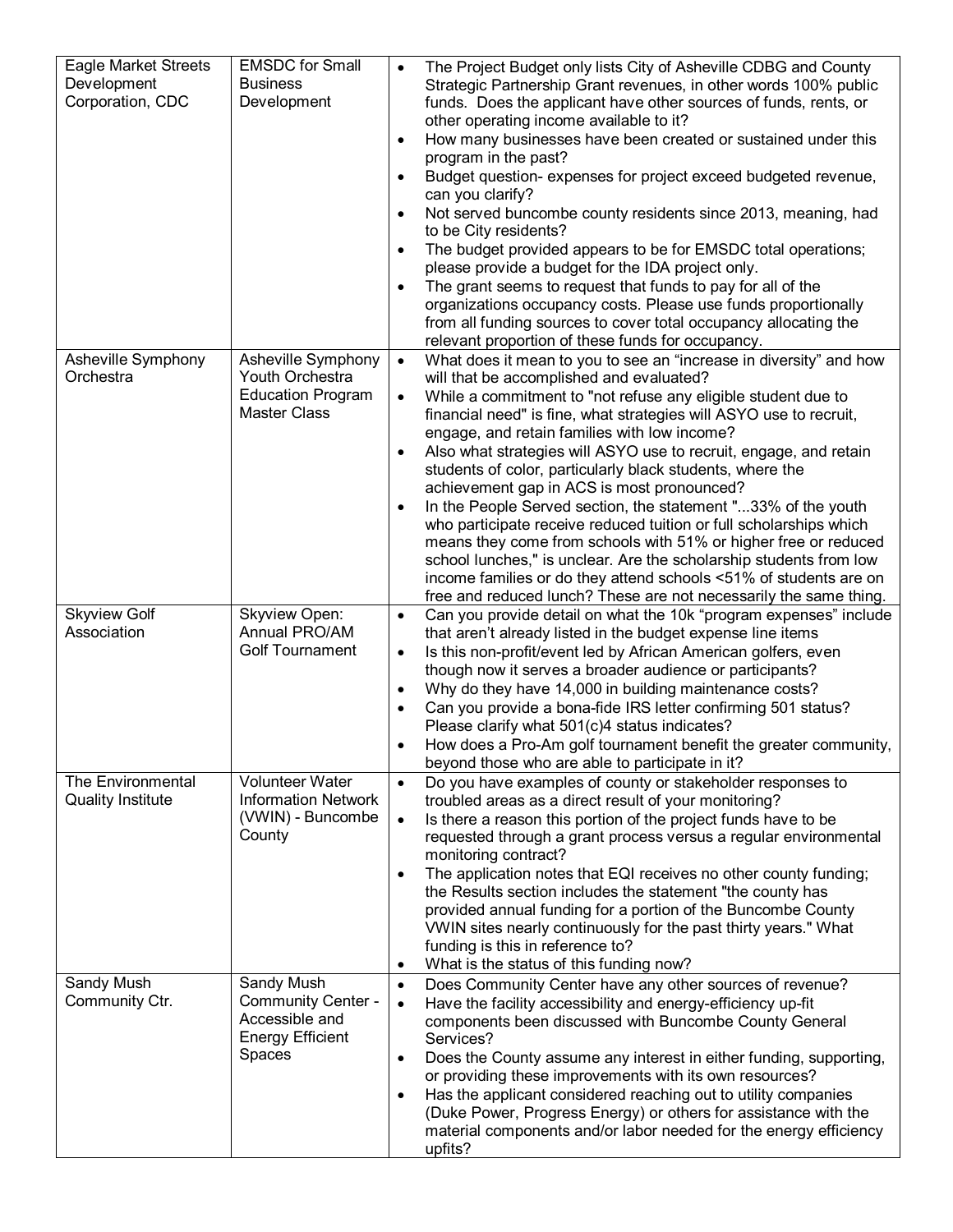| <b>Eagle Market Streets</b><br>Development<br>Corporation, CDC | <b>EMSDC</b> for Small<br><b>Business</b><br>Development                                       | The Project Budget only lists City of Asheville CDBG and County<br>$\bullet$<br>Strategic Partnership Grant revenues, in other words 100% public<br>funds. Does the applicant have other sources of funds, rents, or<br>other operating income available to it?<br>How many businesses have been created or sustained under this<br>$\bullet$<br>program in the past?<br>Budget question- expenses for project exceed budgeted revenue,<br>$\bullet$<br>can you clarify?<br>Not served buncombe county residents since 2013, meaning, had<br>$\bullet$<br>to be City residents?<br>The budget provided appears to be for EMSDC total operations;<br>$\bullet$<br>please provide a budget for the IDA project only.<br>The grant seems to request that funds to pay for all of the<br>$\bullet$<br>organizations occupancy costs. Please use funds proportionally<br>from all funding sources to cover total occupancy allocating the<br>relevant proportion of these funds for occupancy. |
|----------------------------------------------------------------|------------------------------------------------------------------------------------------------|-------------------------------------------------------------------------------------------------------------------------------------------------------------------------------------------------------------------------------------------------------------------------------------------------------------------------------------------------------------------------------------------------------------------------------------------------------------------------------------------------------------------------------------------------------------------------------------------------------------------------------------------------------------------------------------------------------------------------------------------------------------------------------------------------------------------------------------------------------------------------------------------------------------------------------------------------------------------------------------------|
| Asheville Symphony<br>Orchestra                                | Asheville Symphony<br>Youth Orchestra<br><b>Education Program</b><br>Master Class              | What does it mean to you to see an "increase in diversity" and how<br>$\bullet$<br>will that be accomplished and evaluated?<br>While a commitment to "not refuse any eligible student due to<br>$\bullet$<br>financial need" is fine, what strategies will ASYO use to recruit,<br>engage, and retain families with low income?<br>Also what strategies will ASYO use to recruit, engage, and retain<br>$\bullet$<br>students of color, particularly black students, where the<br>achievement gap in ACS is most pronounced?<br>In the People Served section, the statement "33% of the youth<br>$\bullet$<br>who participate receive reduced tuition or full scholarships which<br>means they come from schools with 51% or higher free or reduced<br>school lunches," is unclear. Are the scholarship students from low<br>income families or do they attend schools <51% of students are on<br>free and reduced lunch? These are not necessarily the same thing.                       |
| <b>Skyview Golf</b><br>Association                             | Skyview Open:<br>Annual PRO/AM<br><b>Golf Tournament</b>                                       | Can you provide detail on what the 10k "program expenses" include<br>$\bullet$<br>that aren't already listed in the budget expense line items<br>Is this non-profit/event led by African American golfers, even<br>$\bullet$<br>though now it serves a broader audience or participants?<br>Why do they have 14,000 in building maintenance costs?<br>$\bullet$<br>Can you provide a bona-fide IRS letter confirming 501 status?<br>$\bullet$<br>Please clarify what 501(c)4 status indicates?<br>How does a Pro-Am golf tournament benefit the greater community,<br>beyond those who are able to participate in it?                                                                                                                                                                                                                                                                                                                                                                     |
| The Environmental<br><b>Quality Institute</b>                  | <b>Volunteer Water</b><br><b>Information Network</b><br>(VWIN) - Buncombe<br>County            | Do you have examples of county or stakeholder responses to<br>$\bullet$<br>troubled areas as a direct result of your monitoring?<br>Is there a reason this portion of the project funds have to be<br>$\bullet$<br>requested through a grant process versus a regular environmental<br>monitoring contract?<br>The application notes that EQI receives no other county funding;<br>$\bullet$<br>the Results section includes the statement "the county has<br>provided annual funding for a portion of the Buncombe County<br>VWIN sites nearly continuously for the past thirty years." What<br>funding is this in reference to?<br>What is the status of this funding now?<br>$\bullet$                                                                                                                                                                                                                                                                                                 |
| Sandy Mush<br>Community Ctr.                                   | Sandy Mush<br><b>Community Center -</b><br>Accessible and<br><b>Energy Efficient</b><br>Spaces | Does Community Center have any other sources of revenue?<br>$\bullet$<br>Have the facility accessibility and energy-efficiency up-fit<br>$\bullet$<br>components been discussed with Buncombe County General<br>Services?<br>Does the County assume any interest in either funding, supporting,<br>$\bullet$<br>or providing these improvements with its own resources?<br>Has the applicant considered reaching out to utility companies<br>$\bullet$<br>(Duke Power, Progress Energy) or others for assistance with the<br>material components and/or labor needed for the energy efficiency<br>upfits?                                                                                                                                                                                                                                                                                                                                                                                 |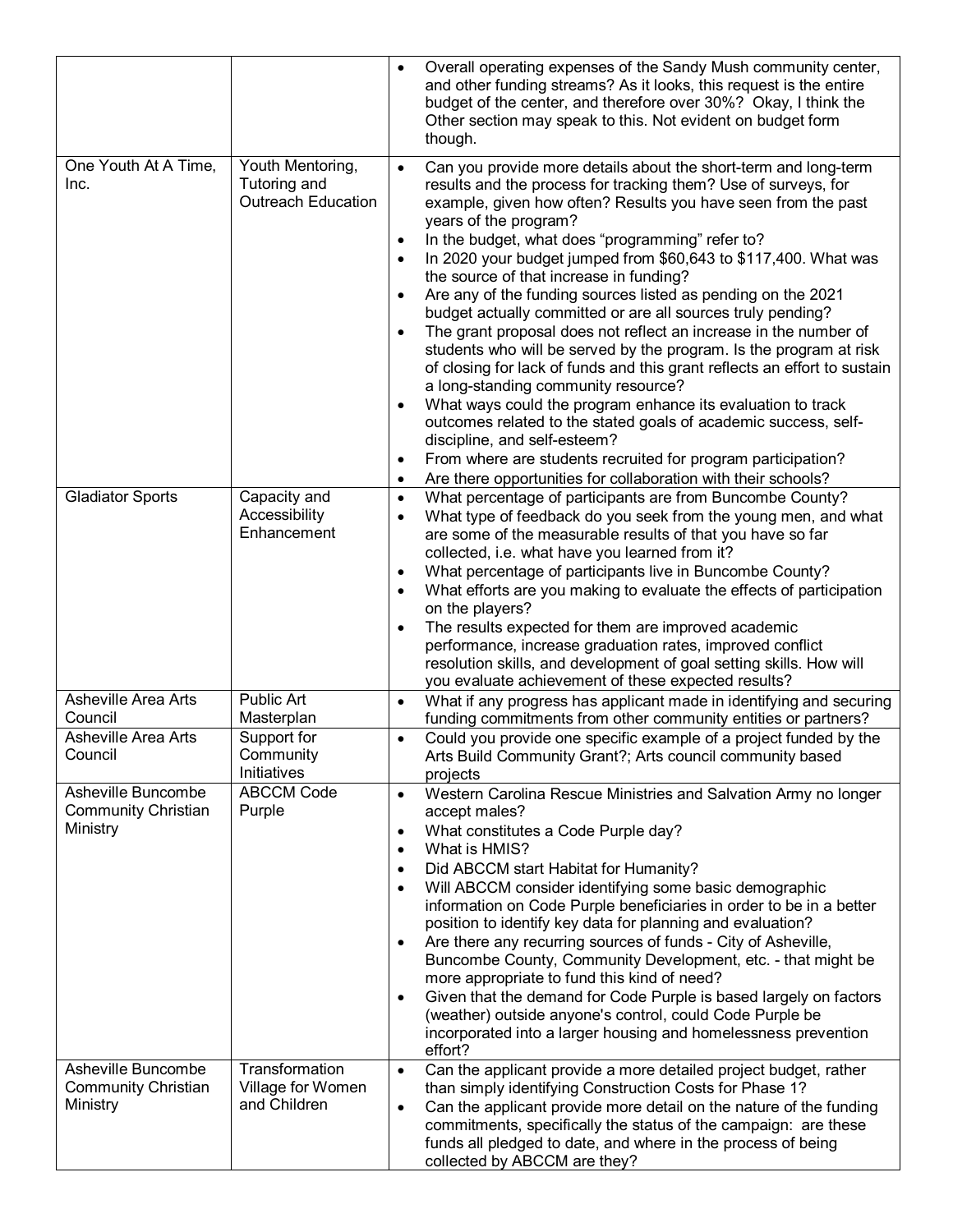|                                                              |                                                               | Overall operating expenses of the Sandy Mush community center,<br>$\bullet$<br>and other funding streams? As it looks, this request is the entire<br>budget of the center, and therefore over 30%? Okay, I think the<br>Other section may speak to this. Not evident on budget form<br>though.                                                                                                                                                                                                                                                                                                                                                                                                                                                                                                                                                                                                                                                                                                                                                                                                                                                                                                |
|--------------------------------------------------------------|---------------------------------------------------------------|-----------------------------------------------------------------------------------------------------------------------------------------------------------------------------------------------------------------------------------------------------------------------------------------------------------------------------------------------------------------------------------------------------------------------------------------------------------------------------------------------------------------------------------------------------------------------------------------------------------------------------------------------------------------------------------------------------------------------------------------------------------------------------------------------------------------------------------------------------------------------------------------------------------------------------------------------------------------------------------------------------------------------------------------------------------------------------------------------------------------------------------------------------------------------------------------------|
| One Youth At A Time,<br>Inc.                                 | Youth Mentoring,<br>Tutoring and<br><b>Outreach Education</b> | Can you provide more details about the short-term and long-term<br>$\bullet$<br>results and the process for tracking them? Use of surveys, for<br>example, given how often? Results you have seen from the past<br>years of the program?<br>In the budget, what does "programming" refer to?<br>$\bullet$<br>In 2020 your budget jumped from \$60,643 to \$117,400. What was<br>$\bullet$<br>the source of that increase in funding?<br>Are any of the funding sources listed as pending on the 2021<br>$\bullet$<br>budget actually committed or are all sources truly pending?<br>The grant proposal does not reflect an increase in the number of<br>$\bullet$<br>students who will be served by the program. Is the program at risk<br>of closing for lack of funds and this grant reflects an effort to sustain<br>a long-standing community resource?<br>What ways could the program enhance its evaluation to track<br>$\bullet$<br>outcomes related to the stated goals of academic success, self-<br>discipline, and self-esteem?<br>From where are students recruited for program participation?<br>$\bullet$<br>Are there opportunities for collaboration with their schools?<br>٠ |
| <b>Gladiator Sports</b>                                      | Capacity and<br>Accessibility<br>Enhancement                  | What percentage of participants are from Buncombe County?<br>$\bullet$<br>What type of feedback do you seek from the young men, and what<br>$\bullet$<br>are some of the measurable results of that you have so far<br>collected, i.e. what have you learned from it?<br>What percentage of participants live in Buncombe County?<br>$\bullet$<br>What efforts are you making to evaluate the effects of participation<br>$\bullet$<br>on the players?<br>The results expected for them are improved academic<br>$\bullet$<br>performance, increase graduation rates, improved conflict<br>resolution skills, and development of goal setting skills. How will<br>you evaluate achievement of these expected results?                                                                                                                                                                                                                                                                                                                                                                                                                                                                         |
| Asheville Area Arts                                          | Public Art                                                    | What if any progress has applicant made in identifying and securing<br>$\bullet$                                                                                                                                                                                                                                                                                                                                                                                                                                                                                                                                                                                                                                                                                                                                                                                                                                                                                                                                                                                                                                                                                                              |
| Council<br><b>Asheville Area Arts</b><br>Council             | Masterplan<br>Support for<br>Community<br>Initiatives         | funding commitments from other community entities or partners?<br>Could you provide one specific example of a project funded by the<br>$\bullet$<br>Arts Build Community Grant?; Arts council community based<br>projects                                                                                                                                                                                                                                                                                                                                                                                                                                                                                                                                                                                                                                                                                                                                                                                                                                                                                                                                                                     |
| Asheville Buncombe<br><b>Community Christian</b><br>Ministry | <b>ABCCM Code</b><br>Purple                                   | Western Carolina Rescue Ministries and Salvation Army no longer<br>$\bullet$<br>accept males?<br>What constitutes a Code Purple day?<br>$\bullet$<br>What is HMIS?<br>$\bullet$<br>Did ABCCM start Habitat for Humanity?<br>$\bullet$<br>Will ABCCM consider identifying some basic demographic<br>$\bullet$<br>information on Code Purple beneficiaries in order to be in a better<br>position to identify key data for planning and evaluation?<br>Are there any recurring sources of funds - City of Asheville,<br>$\bullet$<br>Buncombe County, Community Development, etc. - that might be<br>more appropriate to fund this kind of need?<br>Given that the demand for Code Purple is based largely on factors<br>$\bullet$<br>(weather) outside anyone's control, could Code Purple be<br>incorporated into a larger housing and homelessness prevention<br>effort?                                                                                                                                                                                                                                                                                                                     |
| Asheville Buncombe<br><b>Community Christian</b><br>Ministry | Transformation<br>Village for Women<br>and Children           | Can the applicant provide a more detailed project budget, rather<br>$\bullet$<br>than simply identifying Construction Costs for Phase 1?<br>Can the applicant provide more detail on the nature of the funding<br>$\bullet$<br>commitments, specifically the status of the campaign: are these<br>funds all pledged to date, and where in the process of being<br>collected by ABCCM are they?                                                                                                                                                                                                                                                                                                                                                                                                                                                                                                                                                                                                                                                                                                                                                                                                |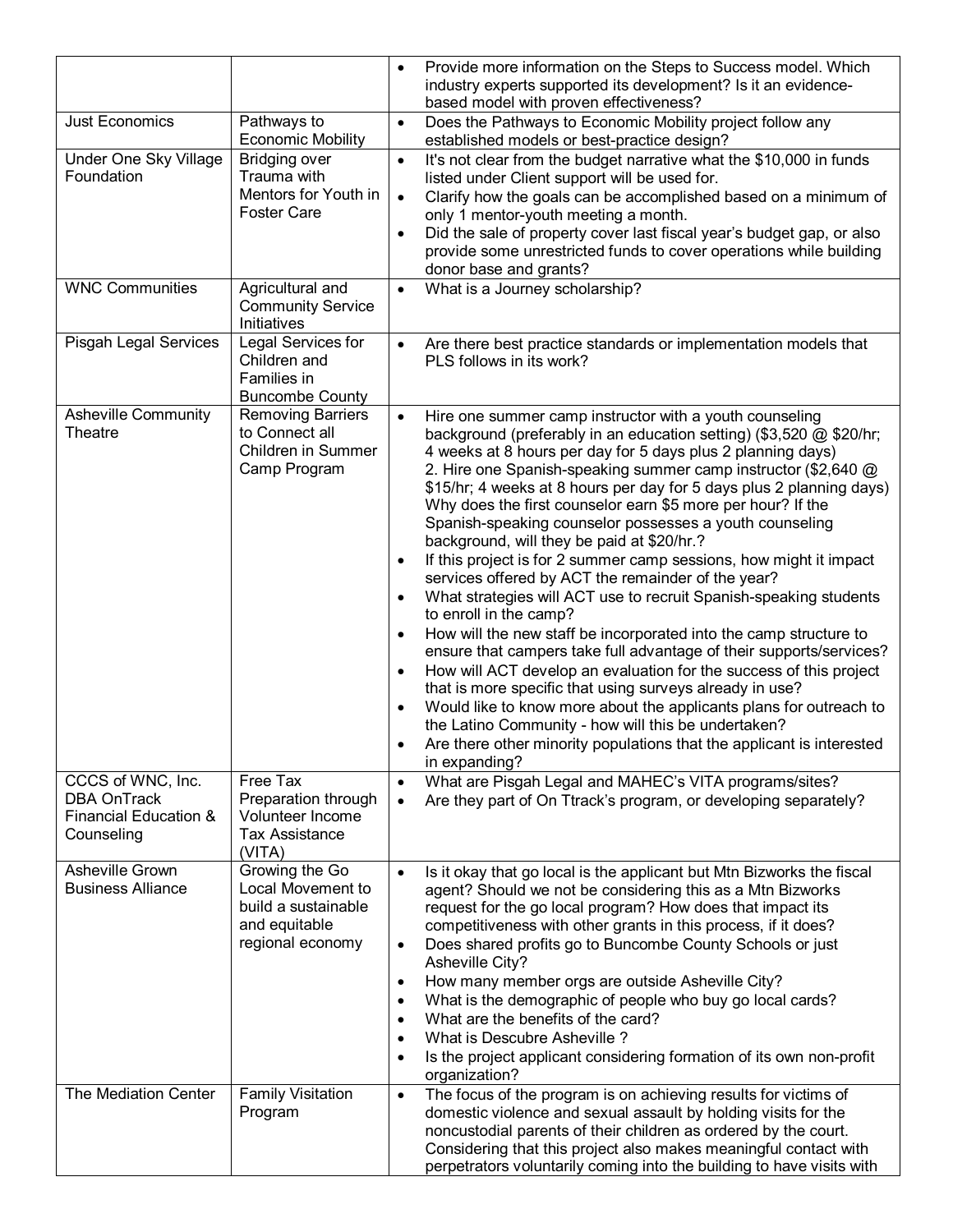|                                                                                           |                                                                                                 | Provide more information on the Steps to Success model. Which<br>$\bullet$<br>industry experts supported its development? Is it an evidence-<br>based model with proven effectiveness?                                                                                                                                                                                                                                                                                                                                                                                                                                                                                                                                                                                                                                                                                                                                                                                                                                                                                                                                                                                                                                                                                                                                                     |
|-------------------------------------------------------------------------------------------|-------------------------------------------------------------------------------------------------|--------------------------------------------------------------------------------------------------------------------------------------------------------------------------------------------------------------------------------------------------------------------------------------------------------------------------------------------------------------------------------------------------------------------------------------------------------------------------------------------------------------------------------------------------------------------------------------------------------------------------------------------------------------------------------------------------------------------------------------------------------------------------------------------------------------------------------------------------------------------------------------------------------------------------------------------------------------------------------------------------------------------------------------------------------------------------------------------------------------------------------------------------------------------------------------------------------------------------------------------------------------------------------------------------------------------------------------------|
| <b>Just Economics</b>                                                                     | Pathways to<br><b>Economic Mobility</b>                                                         | Does the Pathways to Economic Mobility project follow any<br>$\bullet$<br>established models or best-practice design?                                                                                                                                                                                                                                                                                                                                                                                                                                                                                                                                                                                                                                                                                                                                                                                                                                                                                                                                                                                                                                                                                                                                                                                                                      |
| Under One Sky Village<br>Foundation                                                       | <b>Bridging over</b><br>Trauma with<br>Mentors for Youth in<br><b>Foster Care</b>               | It's not clear from the budget narrative what the \$10,000 in funds<br>$\bullet$<br>listed under Client support will be used for.<br>Clarify how the goals can be accomplished based on a minimum of<br>$\bullet$<br>only 1 mentor-youth meeting a month.<br>Did the sale of property cover last fiscal year's budget gap, or also<br>$\bullet$<br>provide some unrestricted funds to cover operations while building<br>donor base and grants?                                                                                                                                                                                                                                                                                                                                                                                                                                                                                                                                                                                                                                                                                                                                                                                                                                                                                            |
| <b>WNC Communities</b>                                                                    | Agricultural and<br><b>Community Service</b><br>Initiatives                                     | What is a Journey scholarship?<br>$\bullet$                                                                                                                                                                                                                                                                                                                                                                                                                                                                                                                                                                                                                                                                                                                                                                                                                                                                                                                                                                                                                                                                                                                                                                                                                                                                                                |
| Pisgah Legal Services                                                                     | Legal Services for<br>Children and<br>Families in<br><b>Buncombe County</b>                     | Are there best practice standards or implementation models that<br>$\bullet$<br>PLS follows in its work?                                                                                                                                                                                                                                                                                                                                                                                                                                                                                                                                                                                                                                                                                                                                                                                                                                                                                                                                                                                                                                                                                                                                                                                                                                   |
| <b>Asheville Community</b><br>Theatre                                                     | <b>Removing Barriers</b><br>to Connect all<br>Children in Summer<br>Camp Program                | Hire one summer camp instructor with a youth counseling<br>$\bullet$<br>background (preferably in an education setting) (\$3,520 @ \$20/hr;<br>4 weeks at 8 hours per day for 5 days plus 2 planning days)<br>2. Hire one Spanish-speaking summer camp instructor (\$2,640 @<br>\$15/hr; 4 weeks at 8 hours per day for 5 days plus 2 planning days)<br>Why does the first counselor earn \$5 more per hour? If the<br>Spanish-speaking counselor possesses a youth counseling<br>background, will they be paid at \$20/hr.?<br>If this project is for 2 summer camp sessions, how might it impact<br>$\bullet$<br>services offered by ACT the remainder of the year?<br>What strategies will ACT use to recruit Spanish-speaking students<br>$\bullet$<br>to enroll in the camp?<br>How will the new staff be incorporated into the camp structure to<br>$\bullet$<br>ensure that campers take full advantage of their supports/services?<br>How will ACT develop an evaluation for the success of this project<br>$\bullet$<br>that is more specific that using surveys already in use?<br>Would like to know more about the applicants plans for outreach to<br>$\bullet$<br>the Latino Community - how will this be undertaken?<br>Are there other minority populations that the applicant is interested<br>$\bullet$<br>in expanding? |
| CCCS of WNC, Inc.<br><b>DBA OnTrack</b><br><b>Financial Education &amp;</b><br>Counseling | Free Tax<br>Preparation through<br>Volunteer Income<br><b>Tax Assistance</b><br>(VITA)          | What are Pisgah Legal and MAHEC's VITA programs/sites?<br>$\bullet$<br>Are they part of On Ttrack's program, or developing separately?<br>$\bullet$                                                                                                                                                                                                                                                                                                                                                                                                                                                                                                                                                                                                                                                                                                                                                                                                                                                                                                                                                                                                                                                                                                                                                                                        |
| Asheville Grown<br><b>Business Alliance</b>                                               | Growing the Go<br>Local Movement to<br>build a sustainable<br>and equitable<br>regional economy | Is it okay that go local is the applicant but Mtn Bizworks the fiscal<br>$\bullet$<br>agent? Should we not be considering this as a Mtn Bizworks<br>request for the go local program? How does that impact its<br>competitiveness with other grants in this process, if it does?<br>Does shared profits go to Buncombe County Schools or just<br>$\bullet$<br>Asheville City?<br>How many member orgs are outside Asheville City?<br>$\bullet$<br>What is the demographic of people who buy go local cards?<br>$\bullet$<br>What are the benefits of the card?<br>$\bullet$<br>What is Descubre Asheville?<br>$\bullet$<br>Is the project applicant considering formation of its own non-profit<br>$\bullet$<br>organization?                                                                                                                                                                                                                                                                                                                                                                                                                                                                                                                                                                                                              |
| The Mediation Center                                                                      | <b>Family Visitation</b><br>Program                                                             | The focus of the program is on achieving results for victims of<br>$\bullet$<br>domestic violence and sexual assault by holding visits for the<br>noncustodial parents of their children as ordered by the court.<br>Considering that this project also makes meaningful contact with<br>perpetrators voluntarily coming into the building to have visits with                                                                                                                                                                                                                                                                                                                                                                                                                                                                                                                                                                                                                                                                                                                                                                                                                                                                                                                                                                             |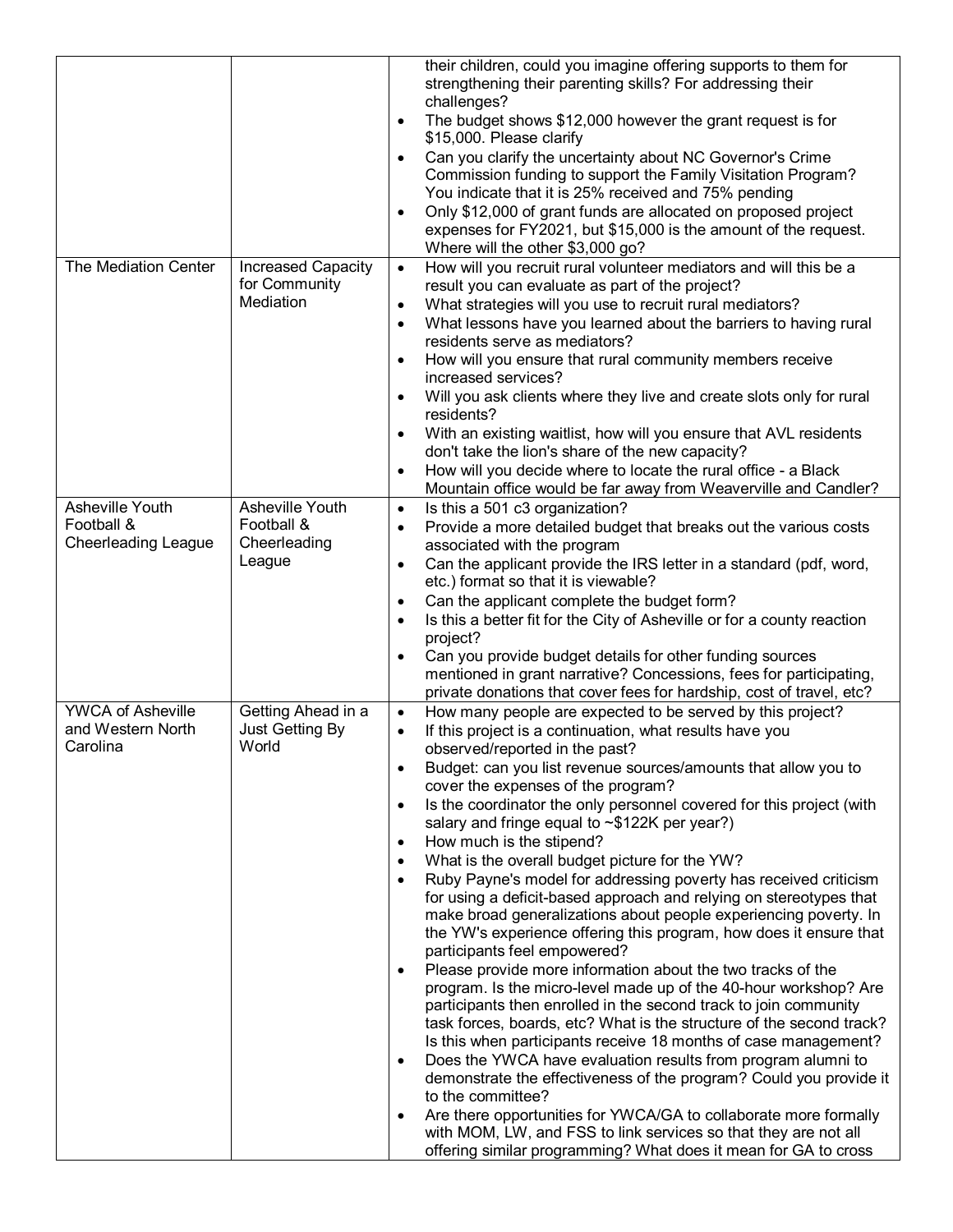|                                               |                                            | their children, could you imagine offering supports to them for<br>strengthening their parenting skills? For addressing their<br>challenges?                                                                                                                                                                |
|-----------------------------------------------|--------------------------------------------|-------------------------------------------------------------------------------------------------------------------------------------------------------------------------------------------------------------------------------------------------------------------------------------------------------------|
|                                               |                                            | The budget shows \$12,000 however the grant request is for<br>\$15,000. Please clarify                                                                                                                                                                                                                      |
|                                               |                                            | Can you clarify the uncertainty about NC Governor's Crime<br>Commission funding to support the Family Visitation Program?<br>You indicate that it is 25% received and 75% pending<br>Only \$12,000 of grant funds are allocated on proposed project                                                         |
|                                               |                                            | expenses for FY2021, but \$15,000 is the amount of the request.<br>Where will the other \$3,000 go?                                                                                                                                                                                                         |
| The Mediation Center                          | <b>Increased Capacity</b><br>for Community | How will you recruit rural volunteer mediators and will this be a<br>$\bullet$<br>result you can evaluate as part of the project?                                                                                                                                                                           |
|                                               | Mediation                                  | What strategies will you use to recruit rural mediators?<br>$\bullet$<br>What lessons have you learned about the barriers to having rural<br>$\bullet$                                                                                                                                                      |
|                                               |                                            | residents serve as mediators?<br>How will you ensure that rural community members receive                                                                                                                                                                                                                   |
|                                               |                                            | increased services?<br>Will you ask clients where they live and create slots only for rural                                                                                                                                                                                                                 |
|                                               |                                            | residents?<br>With an existing waitlist, how will you ensure that AVL residents                                                                                                                                                                                                                             |
|                                               |                                            | don't take the lion's share of the new capacity?                                                                                                                                                                                                                                                            |
|                                               |                                            | How will you decide where to locate the rural office - a Black<br>$\bullet$<br>Mountain office would be far away from Weaverville and Candler?                                                                                                                                                              |
| Asheville Youth<br>Football &                 | Asheville Youth<br>Football &              | Is this a 501 c3 organization?<br>$\bullet$<br>Provide a more detailed budget that breaks out the various costs<br>$\bullet$                                                                                                                                                                                |
| <b>Cheerleading League</b>                    | Cheerleading                               | associated with the program                                                                                                                                                                                                                                                                                 |
|                                               | League                                     | Can the applicant provide the IRS letter in a standard (pdf, word,<br>$\bullet$<br>etc.) format so that it is viewable?                                                                                                                                                                                     |
|                                               |                                            | Can the applicant complete the budget form?<br>$\bullet$                                                                                                                                                                                                                                                    |
|                                               |                                            | Is this a better fit for the City of Asheville or for a county reaction<br>$\bullet$<br>project?                                                                                                                                                                                                            |
|                                               |                                            | Can you provide budget details for other funding sources<br>mentioned in grant narrative? Concessions, fees for participating,                                                                                                                                                                              |
|                                               |                                            | private donations that cover fees for hardship, cost of travel, etc?                                                                                                                                                                                                                                        |
| <b>YWCA of Asheville</b><br>and Western North | Getting Ahead in a<br>Just Getting By      | How many people are expected to be served by this project?<br>$\bullet$<br>If this project is a continuation, what results have you                                                                                                                                                                         |
| Carolina                                      | World                                      | observed/reported in the past?<br>Budget: can you list revenue sources/amounts that allow you to                                                                                                                                                                                                            |
|                                               |                                            | cover the expenses of the program?                                                                                                                                                                                                                                                                          |
|                                               |                                            | Is the coordinator the only personnel covered for this project (with<br>$\bullet$<br>salary and fringe equal to ~\$122K per year?)                                                                                                                                                                          |
|                                               |                                            | How much is the stipend?<br>٠                                                                                                                                                                                                                                                                               |
|                                               |                                            | What is the overall budget picture for the YW?<br>Ruby Payne's model for addressing poverty has received criticism                                                                                                                                                                                          |
|                                               |                                            | for using a deficit-based approach and relying on stereotypes that<br>make broad generalizations about people experiencing poverty. In<br>the YW's experience offering this program, how does it ensure that                                                                                                |
|                                               |                                            | participants feel empowered?<br>Please provide more information about the two tracks of the<br>program. Is the micro-level made up of the 40-hour workshop? Are<br>participants then enrolled in the second track to join community<br>task forces, boards, etc? What is the structure of the second track? |
|                                               |                                            | Is this when participants receive 18 months of case management?<br>Does the YWCA have evaluation results from program alumni to<br>$\bullet$<br>demonstrate the effectiveness of the program? Could you provide it                                                                                          |
|                                               |                                            | to the committee?<br>Are there opportunities for YWCA/GA to collaborate more formally<br>with MOM, LW, and FSS to link services so that they are not all                                                                                                                                                    |
|                                               |                                            | offering similar programming? What does it mean for GA to cross                                                                                                                                                                                                                                             |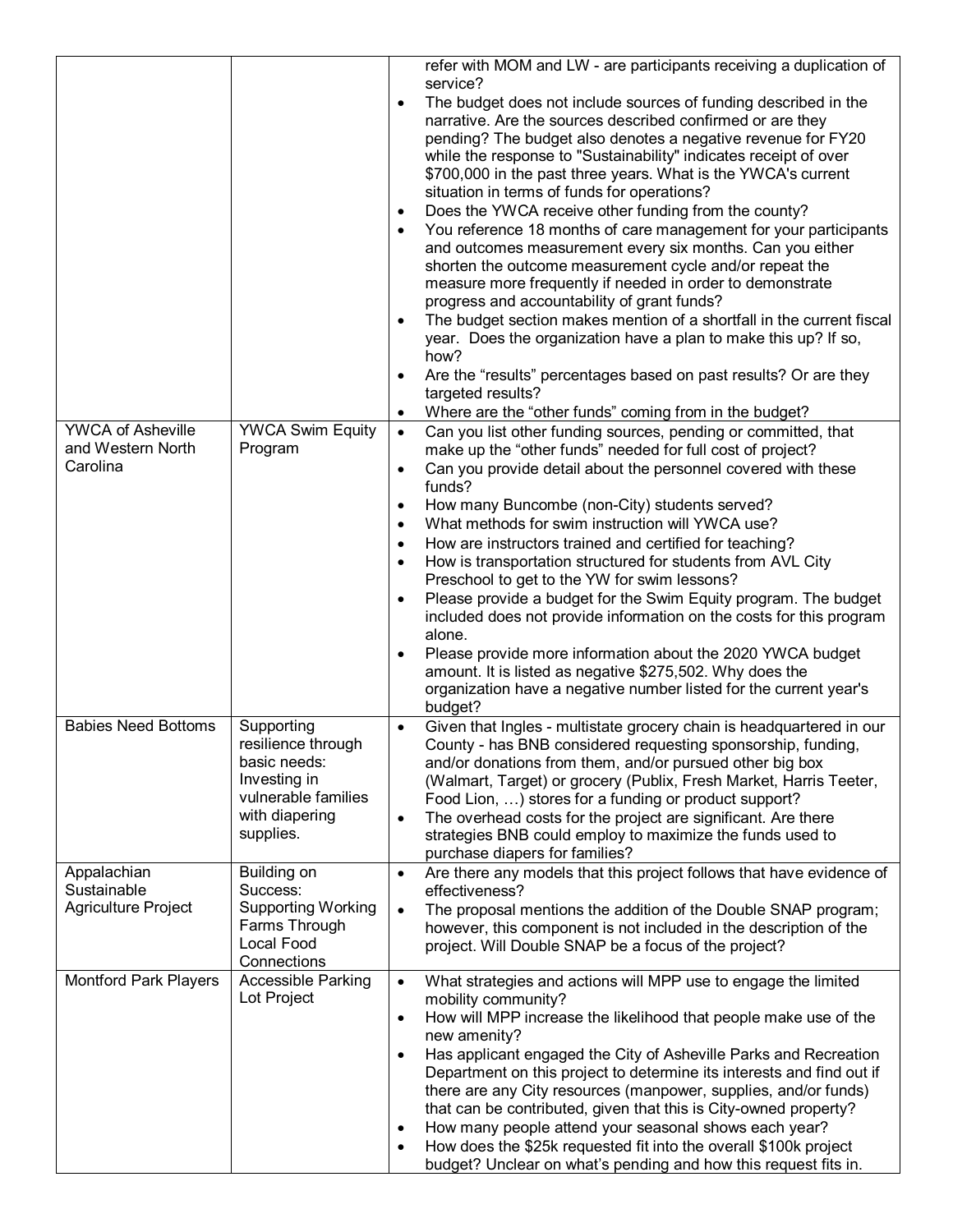|                                                           |                                                                                         | refer with MOM and LW - are participants receiving a duplication of<br>service?<br>The budget does not include sources of funding described in the<br>$\bullet$<br>narrative. Are the sources described confirmed or are they<br>pending? The budget also denotes a negative revenue for FY20<br>while the response to "Sustainability" indicates receipt of over<br>\$700,000 in the past three years. What is the YWCA's current<br>situation in terms of funds for operations?<br>Does the YWCA receive other funding from the county?<br>You reference 18 months of care management for your participants<br>$\bullet$<br>and outcomes measurement every six months. Can you either<br>shorten the outcome measurement cycle and/or repeat the<br>measure more frequently if needed in order to demonstrate<br>progress and accountability of grant funds?<br>The budget section makes mention of a shortfall in the current fiscal<br>$\bullet$<br>year. Does the organization have a plan to make this up? If so,<br>how?<br>Are the "results" percentages based on past results? Or are they<br>$\bullet$<br>targeted results? |
|-----------------------------------------------------------|-----------------------------------------------------------------------------------------|---------------------------------------------------------------------------------------------------------------------------------------------------------------------------------------------------------------------------------------------------------------------------------------------------------------------------------------------------------------------------------------------------------------------------------------------------------------------------------------------------------------------------------------------------------------------------------------------------------------------------------------------------------------------------------------------------------------------------------------------------------------------------------------------------------------------------------------------------------------------------------------------------------------------------------------------------------------------------------------------------------------------------------------------------------------------------------------------------------------------------------------|
|                                                           |                                                                                         | Where are the "other funds" coming from in the budget?<br>$\bullet$                                                                                                                                                                                                                                                                                                                                                                                                                                                                                                                                                                                                                                                                                                                                                                                                                                                                                                                                                                                                                                                                   |
| <b>YWCA of Asheville</b><br>and Western North<br>Carolina | <b>YWCA Swim Equity</b><br>Program                                                      | Can you list other funding sources, pending or committed, that<br>$\bullet$<br>make up the "other funds" needed for full cost of project?<br>Can you provide detail about the personnel covered with these<br>$\bullet$<br>funds?                                                                                                                                                                                                                                                                                                                                                                                                                                                                                                                                                                                                                                                                                                                                                                                                                                                                                                     |
|                                                           |                                                                                         | How many Buncombe (non-City) students served?<br>$\bullet$<br>What methods for swim instruction will YWCA use?<br>$\bullet$                                                                                                                                                                                                                                                                                                                                                                                                                                                                                                                                                                                                                                                                                                                                                                                                                                                                                                                                                                                                           |
|                                                           |                                                                                         | How are instructors trained and certified for teaching?<br>$\bullet$<br>How is transportation structured for students from AVL City<br>$\bullet$<br>Preschool to get to the YW for swim lessons?                                                                                                                                                                                                                                                                                                                                                                                                                                                                                                                                                                                                                                                                                                                                                                                                                                                                                                                                      |
|                                                           |                                                                                         | Please provide a budget for the Swim Equity program. The budget<br>$\bullet$<br>included does not provide information on the costs for this program<br>alone.                                                                                                                                                                                                                                                                                                                                                                                                                                                                                                                                                                                                                                                                                                                                                                                                                                                                                                                                                                         |
|                                                           |                                                                                         | Please provide more information about the 2020 YWCA budget<br>$\bullet$<br>amount. It is listed as negative \$275,502. Why does the<br>organization have a negative number listed for the current year's<br>budget?                                                                                                                                                                                                                                                                                                                                                                                                                                                                                                                                                                                                                                                                                                                                                                                                                                                                                                                   |
| <b>Babies Need Bottoms</b>                                | Supporting<br>resilience through<br>basic needs:<br>Investing in<br>vulnerable families | Given that Ingles - multistate grocery chain is headquartered in our<br>$\bullet$<br>County - has BNB considered requesting sponsorship, funding,<br>and/or donations from them, and/or pursued other big box<br>(Walmart, Target) or grocery (Publix, Fresh Market, Harris Teeter,<br>Food Lion, ) stores for a funding or product support?                                                                                                                                                                                                                                                                                                                                                                                                                                                                                                                                                                                                                                                                                                                                                                                          |
|                                                           | with diapering<br>supplies.                                                             | The overhead costs for the project are significant. Are there<br>$\bullet$<br>strategies BNB could employ to maximize the funds used to<br>purchase diapers for families?                                                                                                                                                                                                                                                                                                                                                                                                                                                                                                                                                                                                                                                                                                                                                                                                                                                                                                                                                             |
| Appalachian                                               | <b>Building on</b>                                                                      | Are there any models that this project follows that have evidence of<br>$\bullet$                                                                                                                                                                                                                                                                                                                                                                                                                                                                                                                                                                                                                                                                                                                                                                                                                                                                                                                                                                                                                                                     |
| Sustainable<br>Agriculture Project                        | Success:<br><b>Supporting Working</b><br>Farms Through<br>Local Food<br>Connections     | effectiveness?<br>The proposal mentions the addition of the Double SNAP program;<br>$\bullet$<br>however, this component is not included in the description of the<br>project. Will Double SNAP be a focus of the project?                                                                                                                                                                                                                                                                                                                                                                                                                                                                                                                                                                                                                                                                                                                                                                                                                                                                                                            |
| <b>Montford Park Players</b>                              | Accessible Parking<br>Lot Project                                                       | What strategies and actions will MPP use to engage the limited<br>$\bullet$<br>mobility community?                                                                                                                                                                                                                                                                                                                                                                                                                                                                                                                                                                                                                                                                                                                                                                                                                                                                                                                                                                                                                                    |
|                                                           |                                                                                         | How will MPP increase the likelihood that people make use of the<br>$\bullet$<br>new amenity?                                                                                                                                                                                                                                                                                                                                                                                                                                                                                                                                                                                                                                                                                                                                                                                                                                                                                                                                                                                                                                         |
|                                                           |                                                                                         | Has applicant engaged the City of Asheville Parks and Recreation<br>$\bullet$<br>Department on this project to determine its interests and find out if<br>there are any City resources (manpower, supplies, and/or funds)                                                                                                                                                                                                                                                                                                                                                                                                                                                                                                                                                                                                                                                                                                                                                                                                                                                                                                             |
|                                                           |                                                                                         | that can be contributed, given that this is City-owned property?                                                                                                                                                                                                                                                                                                                                                                                                                                                                                                                                                                                                                                                                                                                                                                                                                                                                                                                                                                                                                                                                      |
|                                                           |                                                                                         | How many people attend your seasonal shows each year?<br>٠<br>How does the \$25k requested fit into the overall \$100k project<br>$\bullet$<br>budget? Unclear on what's pending and how this request fits in.                                                                                                                                                                                                                                                                                                                                                                                                                                                                                                                                                                                                                                                                                                                                                                                                                                                                                                                        |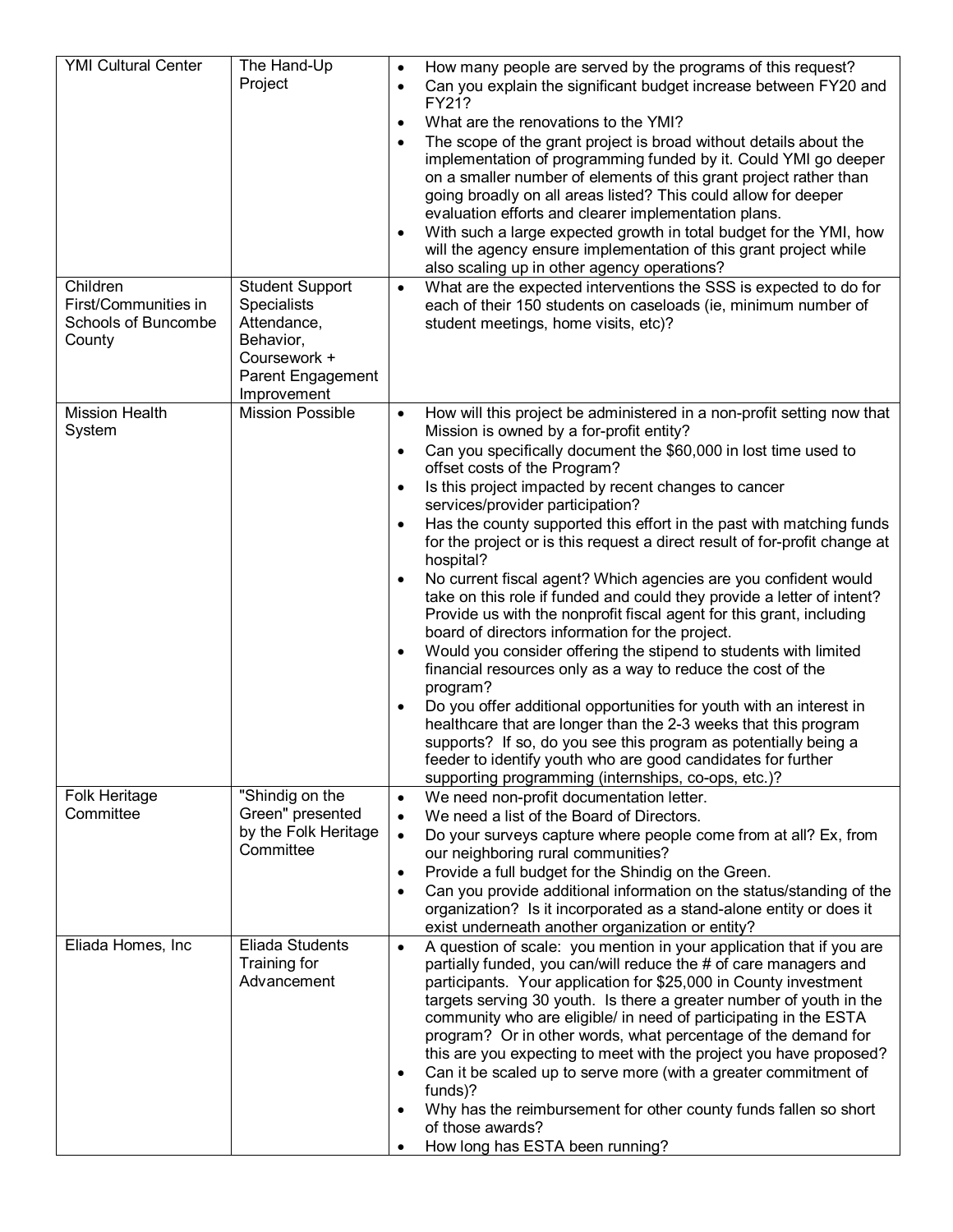| <b>YMI Cultural Center</b><br>Children<br>First/Communities in<br>Schools of Buncombe<br>County | The Hand-Up<br>Project<br><b>Student Support</b><br><b>Specialists</b><br>Attendance,<br>Behavior, | How many people are served by the programs of this request?<br>$\bullet$<br>Can you explain the significant budget increase between FY20 and<br>$\bullet$<br>FY21?<br>What are the renovations to the YMI?<br>$\bullet$<br>The scope of the grant project is broad without details about the<br>$\bullet$<br>implementation of programming funded by it. Could YMI go deeper<br>on a smaller number of elements of this grant project rather than<br>going broadly on all areas listed? This could allow for deeper<br>evaluation efforts and clearer implementation plans.<br>With such a large expected growth in total budget for the YMI, how<br>٠<br>will the agency ensure implementation of this grant project while<br>also scaling up in other agency operations?<br>What are the expected interventions the SSS is expected to do for<br>$\bullet$<br>each of their 150 students on caseloads (ie, minimum number of<br>student meetings, home visits, etc)?                                                                                                                                                                                                                                                                                                                                             |
|-------------------------------------------------------------------------------------------------|----------------------------------------------------------------------------------------------------|--------------------------------------------------------------------------------------------------------------------------------------------------------------------------------------------------------------------------------------------------------------------------------------------------------------------------------------------------------------------------------------------------------------------------------------------------------------------------------------------------------------------------------------------------------------------------------------------------------------------------------------------------------------------------------------------------------------------------------------------------------------------------------------------------------------------------------------------------------------------------------------------------------------------------------------------------------------------------------------------------------------------------------------------------------------------------------------------------------------------------------------------------------------------------------------------------------------------------------------------------------------------------------------------------------------------|
|                                                                                                 | Coursework +<br>Parent Engagement<br>Improvement                                                   |                                                                                                                                                                                                                                                                                                                                                                                                                                                                                                                                                                                                                                                                                                                                                                                                                                                                                                                                                                                                                                                                                                                                                                                                                                                                                                                    |
| <b>Mission Health</b><br>System                                                                 | <b>Mission Possible</b>                                                                            | How will this project be administered in a non-profit setting now that<br>$\bullet$<br>Mission is owned by a for-profit entity?<br>Can you specifically document the \$60,000 in lost time used to<br>$\bullet$<br>offset costs of the Program?<br>Is this project impacted by recent changes to cancer<br>$\bullet$<br>services/provider participation?<br>Has the county supported this effort in the past with matching funds<br>$\bullet$<br>for the project or is this request a direct result of for-profit change at<br>hospital?<br>No current fiscal agent? Which agencies are you confident would<br>٠<br>take on this role if funded and could they provide a letter of intent?<br>Provide us with the nonprofit fiscal agent for this grant, including<br>board of directors information for the project.<br>Would you consider offering the stipend to students with limited<br>٠<br>financial resources only as a way to reduce the cost of the<br>program?<br>Do you offer additional opportunities for youth with an interest in<br>٠<br>healthcare that are longer than the 2-3 weeks that this program<br>supports? If so, do you see this program as potentially being a<br>feeder to identify youth who are good candidates for further<br>supporting programming (internships, co-ops, etc.)? |
| Folk Heritage<br>Committee                                                                      | "Shindig on the<br>Green" presented<br>by the Folk Heritage<br>Committee                           | We need non-profit documentation letter.<br>$\bullet$<br>We need a list of the Board of Directors.<br>$\bullet$<br>Do your surveys capture where people come from at all? Ex, from<br>$\bullet$<br>our neighboring rural communities?<br>Provide a full budget for the Shindig on the Green.<br>$\bullet$<br>Can you provide additional information on the status/standing of the<br>$\bullet$<br>organization? Is it incorporated as a stand-alone entity or does it<br>exist underneath another organization or entity?                                                                                                                                                                                                                                                                                                                                                                                                                                                                                                                                                                                                                                                                                                                                                                                          |
| Eliada Homes, Inc                                                                               | Eliada Students<br>Training for<br>Advancement                                                     | A question of scale: you mention in your application that if you are<br>$\bullet$<br>partially funded, you can/will reduce the # of care managers and<br>participants. Your application for \$25,000 in County investment<br>targets serving 30 youth. Is there a greater number of youth in the<br>community who are eligible/ in need of participating in the ESTA<br>program? Or in other words, what percentage of the demand for<br>this are you expecting to meet with the project you have proposed?<br>Can it be scaled up to serve more (with a greater commitment of<br>٠<br>funds)?<br>Why has the reimbursement for other county funds fallen so short<br>٠<br>of those awards?<br>How long has ESTA been running?                                                                                                                                                                                                                                                                                                                                                                                                                                                                                                                                                                                     |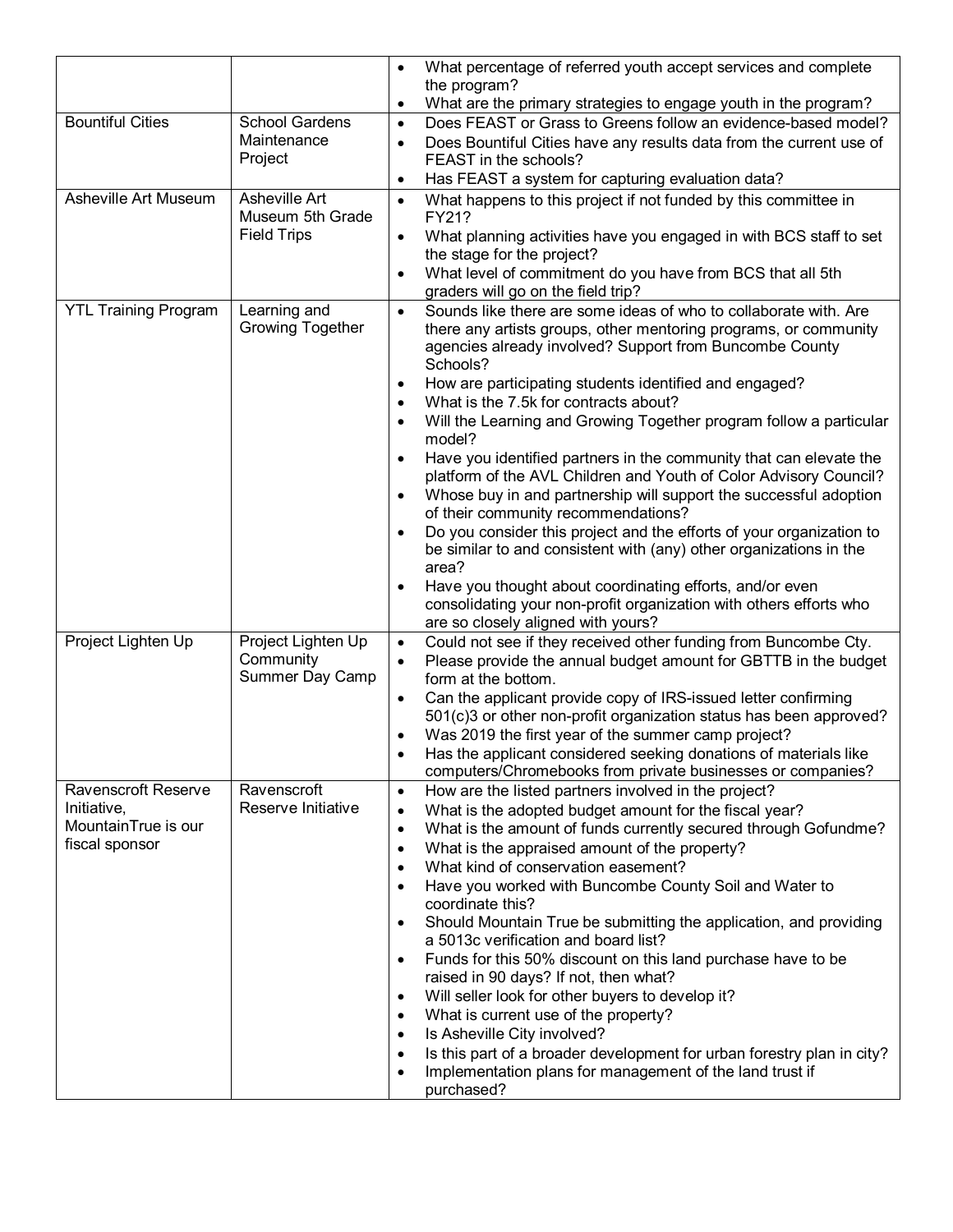|                             |                                   | $\bullet$ | What percentage of referred youth accept services and complete                                                                                                       |
|-----------------------------|-----------------------------------|-----------|----------------------------------------------------------------------------------------------------------------------------------------------------------------------|
|                             |                                   | ٠         | the program?<br>What are the primary strategies to engage youth in the program?                                                                                      |
| <b>Bountiful Cities</b>     | <b>School Gardens</b>             | $\bullet$ | Does FEAST or Grass to Greens follow an evidence-based model?                                                                                                        |
|                             | Maintenance                       | $\bullet$ | Does Bountiful Cities have any results data from the current use of                                                                                                  |
|                             | Project                           |           | FEAST in the schools?                                                                                                                                                |
|                             |                                   | $\bullet$ | Has FEAST a system for capturing evaluation data?                                                                                                                    |
| Asheville Art Museum        | Asheville Art<br>Museum 5th Grade | $\bullet$ | What happens to this project if not funded by this committee in<br>FY21?                                                                                             |
|                             | <b>Field Trips</b>                | $\bullet$ | What planning activities have you engaged in with BCS staff to set<br>the stage for the project?                                                                     |
|                             |                                   | $\bullet$ | What level of commitment do you have from BCS that all 5th                                                                                                           |
| <b>YTL Training Program</b> | Learning and                      |           | graders will go on the field trip?<br>Sounds like there are some ideas of who to collaborate with. Are                                                               |
|                             | <b>Growing Together</b>           | $\bullet$ | there any artists groups, other mentoring programs, or community<br>agencies already involved? Support from Buncombe County<br>Schools?                              |
|                             |                                   | ٠         | How are participating students identified and engaged?                                                                                                               |
|                             |                                   |           | What is the 7.5k for contracts about?<br>Will the Learning and Growing Together program follow a particular                                                          |
|                             |                                   |           | model?                                                                                                                                                               |
|                             |                                   |           | Have you identified partners in the community that can elevate the                                                                                                   |
|                             |                                   |           | platform of the AVL Children and Youth of Color Advisory Council?                                                                                                    |
|                             |                                   |           | Whose buy in and partnership will support the successful adoption<br>of their community recommendations?                                                             |
|                             |                                   |           | Do you consider this project and the efforts of your organization to                                                                                                 |
|                             |                                   |           | be similar to and consistent with (any) other organizations in the                                                                                                   |
|                             |                                   |           | area?                                                                                                                                                                |
|                             |                                   |           | Have you thought about coordinating efforts, and/or even<br>consolidating your non-profit organization with others efforts who<br>are so closely aligned with yours? |
| Project Lighten Up          | Project Lighten Up                | $\bullet$ | Could not see if they received other funding from Buncombe Cty.                                                                                                      |
|                             | Community                         | $\bullet$ | Please provide the annual budget amount for GBTTB in the budget                                                                                                      |
|                             | Summer Day Camp                   |           | form at the bottom.                                                                                                                                                  |
|                             |                                   |           | Can the applicant provide copy of IRS-issued letter confirming<br>501(c)3 or other non-profit organization status has been approved?                                 |
|                             |                                   |           | Was 2019 the first year of the summer camp project?                                                                                                                  |
|                             |                                   |           | Has the applicant considered seeking donations of materials like                                                                                                     |
| Ravenscroft Reserve         | Ravenscroft                       | $\bullet$ | computers/Chromebooks from private businesses or companies?<br>How are the listed partners involved in the project?                                                  |
| Initiative,                 | Reserve Initiative                | $\bullet$ | What is the adopted budget amount for the fiscal year?                                                                                                               |
| MountainTrue is our         |                                   | $\bullet$ | What is the amount of funds currently secured through Gofundme?                                                                                                      |
| fiscal sponsor              |                                   | $\bullet$ | What is the appraised amount of the property?                                                                                                                        |
|                             |                                   |           | What kind of conservation easement?                                                                                                                                  |
|                             |                                   |           | Have you worked with Buncombe County Soil and Water to                                                                                                               |
|                             |                                   |           | coordinate this?                                                                                                                                                     |
|                             |                                   |           | Should Mountain True be submitting the application, and providing<br>a 5013c verification and board list?                                                            |
|                             |                                   |           | Funds for this 50% discount on this land purchase have to be                                                                                                         |
|                             |                                   |           | raised in 90 days? If not, then what?                                                                                                                                |
|                             |                                   | $\bullet$ | Will seller look for other buyers to develop it?                                                                                                                     |
|                             |                                   |           | What is current use of the property?                                                                                                                                 |
|                             |                                   |           | Is Asheville City involved?<br>Is this part of a broader development for urban forestry plan in city?                                                                |
|                             |                                   |           | Implementation plans for management of the land trust if                                                                                                             |
|                             |                                   |           | purchased?                                                                                                                                                           |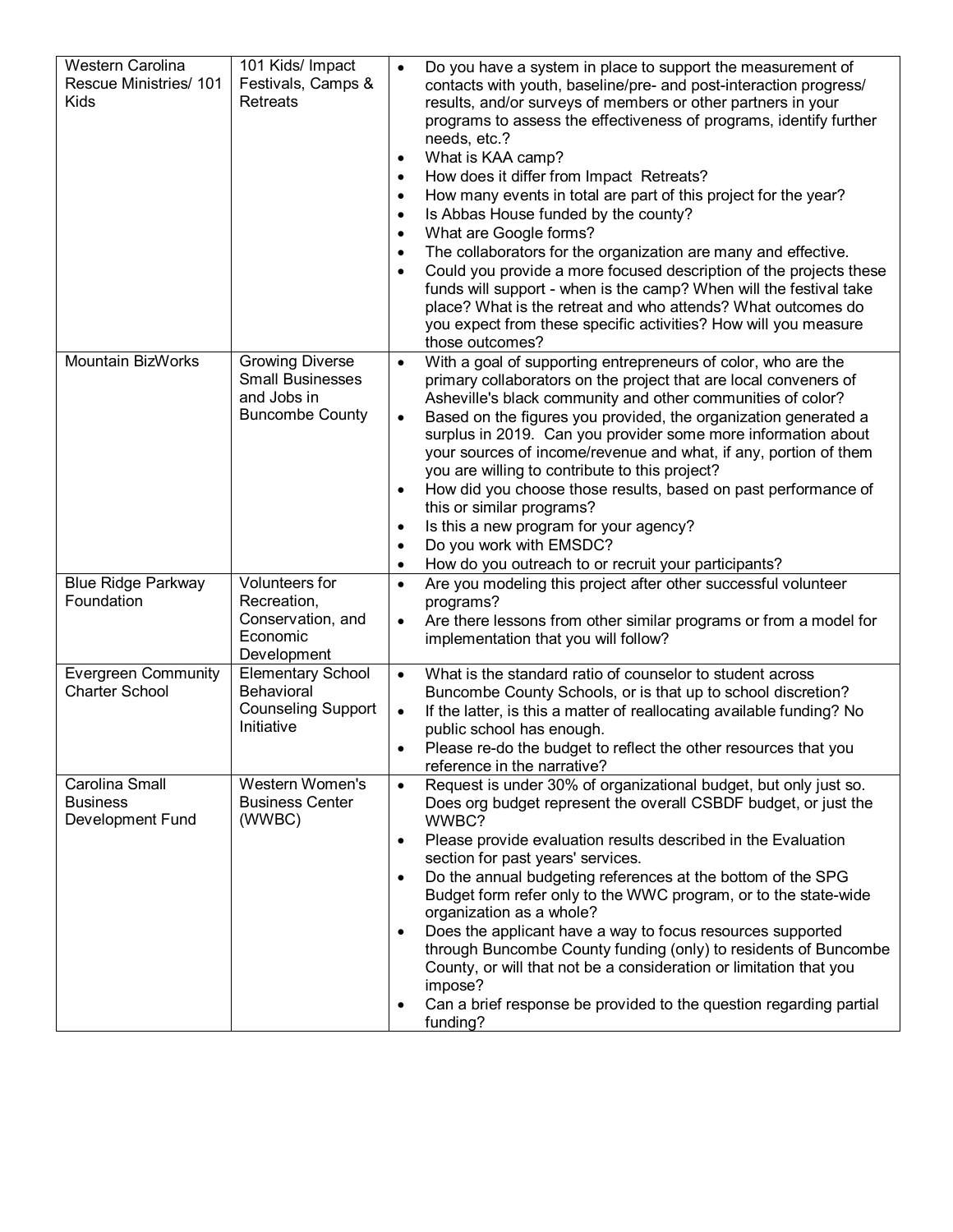| Western Carolina<br>Rescue Ministries/ 101<br>Kids    | 101 Kids/ Impact<br>Festivals, Camps &<br><b>Retreats</b>                                  | Do you have a system in place to support the measurement of<br>$\bullet$<br>contacts with youth, baseline/pre- and post-interaction progress/<br>results, and/or surveys of members or other partners in your<br>programs to assess the effectiveness of programs, identify further<br>needs, etc.?<br>What is KAA camp?<br>$\bullet$<br>How does it differ from Impact Retreats?<br>$\bullet$<br>How many events in total are part of this project for the year?<br>$\bullet$<br>Is Abbas House funded by the county?<br>$\bullet$<br>What are Google forms?<br>$\bullet$<br>The collaborators for the organization are many and effective.<br>$\bullet$<br>Could you provide a more focused description of the projects these<br>$\bullet$<br>funds will support - when is the camp? When will the festival take<br>place? What is the retreat and who attends? What outcomes do<br>you expect from these specific activities? How will you measure<br>those outcomes? |
|-------------------------------------------------------|--------------------------------------------------------------------------------------------|--------------------------------------------------------------------------------------------------------------------------------------------------------------------------------------------------------------------------------------------------------------------------------------------------------------------------------------------------------------------------------------------------------------------------------------------------------------------------------------------------------------------------------------------------------------------------------------------------------------------------------------------------------------------------------------------------------------------------------------------------------------------------------------------------------------------------------------------------------------------------------------------------------------------------------------------------------------------------|
| <b>Mountain BizWorks</b>                              | <b>Growing Diverse</b><br><b>Small Businesses</b><br>and Jobs in<br><b>Buncombe County</b> | With a goal of supporting entrepreneurs of color, who are the<br>$\bullet$<br>primary collaborators on the project that are local conveners of<br>Asheville's black community and other communities of color?<br>Based on the figures you provided, the organization generated a<br>$\bullet$<br>surplus in 2019. Can you provider some more information about<br>your sources of income/revenue and what, if any, portion of them<br>you are willing to contribute to this project?<br>How did you choose those results, based on past performance of<br>$\bullet$<br>this or similar programs?<br>Is this a new program for your agency?<br>$\bullet$<br>Do you work with EMSDC?<br>$\bullet$<br>How do you outreach to or recruit your participants?<br>$\bullet$                                                                                                                                                                                                     |
| <b>Blue Ridge Parkway</b><br>Foundation               | Volunteers for<br>Recreation,<br>Conservation, and<br>Economic<br>Development              | Are you modeling this project after other successful volunteer<br>$\bullet$<br>programs?<br>Are there lessons from other similar programs or from a model for<br>$\bullet$<br>implementation that you will follow?                                                                                                                                                                                                                                                                                                                                                                                                                                                                                                                                                                                                                                                                                                                                                       |
| <b>Evergreen Community</b><br><b>Charter School</b>   | <b>Elementary School</b><br><b>Behavioral</b><br><b>Counseling Support</b><br>Initiative   | What is the standard ratio of counselor to student across<br>$\bullet$<br>Buncombe County Schools, or is that up to school discretion?<br>If the latter, is this a matter of reallocating available funding? No<br>$\bullet$<br>public school has enough.<br>Please re-do the budget to reflect the other resources that you<br>reference in the narrative?                                                                                                                                                                                                                                                                                                                                                                                                                                                                                                                                                                                                              |
| Carolina Small<br><b>Business</b><br>Development Fund | Western Women's<br><b>Business Center</b><br>(WWBC)                                        | Request is under 30% of organizational budget, but only just so.<br>$\bullet$<br>Does org budget represent the overall CSBDF budget, or just the<br>WWBC?<br>Please provide evaluation results described in the Evaluation<br>$\bullet$<br>section for past years' services.<br>Do the annual budgeting references at the bottom of the SPG<br>$\bullet$<br>Budget form refer only to the WWC program, or to the state-wide<br>organization as a whole?<br>Does the applicant have a way to focus resources supported<br>$\bullet$<br>through Buncombe County funding (only) to residents of Buncombe<br>County, or will that not be a consideration or limitation that you<br>impose?<br>Can a brief response be provided to the question regarding partial<br>٠<br>funding?                                                                                                                                                                                            |